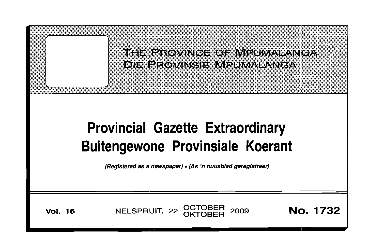THE PROVINGE OF MPUMALANGA DIE PROVINSIE MPLIMALANGA

# **Provincial Gazette Extraordinary Buitengewone Provinsiale Koerant**

(Registered as a newspaper) •(As 'n nuusblad geregistreer)

**Vol. 16** NELSPRUIT, 22 OCTOBER 2009 **No. 1732**